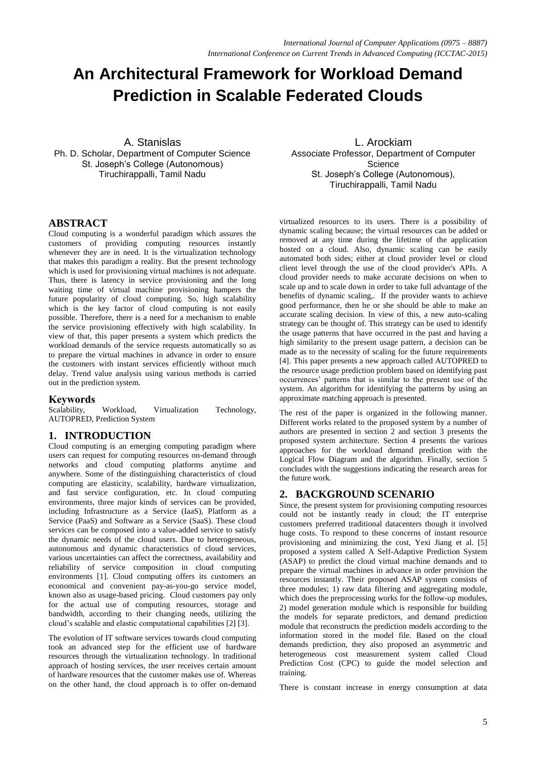# **An Architectural Framework for Workload Demand Prediction in Scalable Federated Clouds**

A. Stanislas Ph. D. Scholar, Department of Computer Science St. Joseph's College (Autonomous) Tiruchirappalli, Tamil Nadu

# **ABSTRACT**

Cloud computing is a wonderful paradigm which assures the customers of providing computing resources instantly whenever they are in need. It is the virtualization technology that makes this paradigm a reality. But the present technology which is used for provisioning virtual machines is not adequate. Thus, there is latency in service provisioning and the long waiting time of virtual machine provisioning hampers the future popularity of cloud computing. So, high scalability which is the key factor of cloud computing is not easily possible. Therefore, there is a need for a mechanism to enable the service provisioning effectively with high scalability. In view of that, this paper presents a system which predicts the workload demands of the service requests automatically so as to prepare the virtual machines in advance in order to ensure the customers with instant services efficiently without much delay. Trend value analysis using various methods is carried out in the prediction system.

# **Keywords**

Workload, Virtualization Technology, AUTOPRED, Prediction System

# **1. INTRODUCTION**

Cloud computing is an emerging computing paradigm where users can request for computing resources on-demand through networks and cloud computing platforms anytime and anywhere. Some of the distinguishing characteristics of cloud computing are elasticity, scalability, hardware virtualization, and fast service configuration, etc. In cloud computing environments, three major kinds of services can be provided, including Infrastructure as a Service (IaaS), Platform as a Service (PaaS) and Software as a Service (SaaS). These cloud services can be composed into a value-added service to satisfy the dynamic needs of the cloud users. Due to heterogeneous, autonomous and dynamic characteristics of cloud services, various uncertainties can affect the correctness, availability and reliability of service composition in cloud computing environments [1]. Cloud computing offers its customers an economical and convenient pay-as-you-go service model, known also as usage-based pricing. Cloud customers pay only for the actual use of computing resources, storage and bandwidth, according to their changing needs, utilizing the cloud's scalable and elastic computational capabilities [2] [3].

The evolution of IT software services towards cloud computing took an advanced step for the efficient use of hardware resources through the virtualization technology. In traditional approach of hosting services, the user receives certain amount of hardware resources that the customer makes use of. Whereas on the other hand, the cloud approach is to offer on-demand

L. Arockiam Associate Professor, Department of Computer **Science** St. Joseph's College (Autonomous), Tiruchirappalli, Tamil Nadu

virtualized resources to its users. There is a possibility of dynamic scaling because; the virtual resources can be added or removed at any time during the lifetime of the application hosted on a cloud. Also, dynamic scaling can be easily automated both sides; either at cloud provider level or cloud client level through the use of the cloud provider's APIs. A cloud provider needs to make accurate decisions on when to scale up and to scale down in order to take full advantage of the benefits of dynamic scaling,. If the provider wants to achieve good performance, then he or she should be able to make an accurate scaling decision. In view of this, a new auto-scaling strategy can be thought of. This strategy can be used to identify the usage patterns that have occurred in the past and having a high similarity to the present usage pattern, a decision can be made as to the necessity of scaling for the future requirements [4]. This paper presents a new approach called AUTOPRED to the resource usage prediction problem based on identifying past occurrences' patterns that is similar to the present use of the system. An algorithm for identifying the patterns by using an approximate matching approach is presented.

The rest of the paper is organized in the following manner. Different works related to the proposed system by a number of authors are presented in section 2 and section 3 presents the proposed system architecture. Section 4 presents the various approaches for the workload demand prediction with the Logical Flow Diagram and the algorithm. Finally, section 5 concludes with the suggestions indicating the research areas for the future work.

# **2. BACKGROUND SCENARIO**

Since, the present system for provisioning computing resources could not be instantly ready in cloud; the IT enterprise customers preferred traditional datacenters though it involved huge costs. To respond to these concerns of instant resource provisioning and minimizing the cost, Yexi Jiang et al. [5] proposed a system called A Self-Adaptive Prediction System (ASAP) to predict the cloud virtual machine demands and to prepare the virtual machines in advance in order provision the resources instantly. Their proposed ASAP system consists of three modules; 1) raw data filtering and aggregating module, which does the preprocessing works for the follow-up modules, 2) model generation module which is responsible for building the models for separate predictors, and demand prediction module that reconstructs the prediction models according to the information stored in the model file. Based on the cloud demands prediction, they also proposed an asymmetric and heterogeneous cost measurement system called Cloud Prediction Cost (CPC) to guide the model selection and training.

There is constant increase in energy consumption at data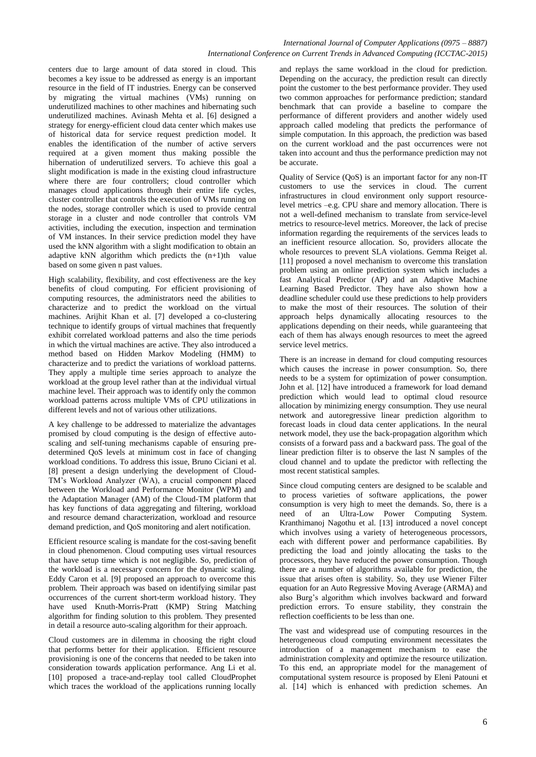# *International Journal of Computer Applications (0975 – 8887) International Conference on Current Trends in Advanced Computing (ICCTAC-2015)*

centers due to large amount of data stored in cloud. This becomes a key issue to be addressed as energy is an important resource in the field of IT industries. Energy can be conserved by migrating the virtual machines (VMs) running on underutilized machines to other machines and hibernating such underutilized machines. Avinash Mehta et al. [6] designed a strategy for energy-efficient cloud data center which makes use of historical data for service request prediction model. It enables the identification of the number of active servers required at a given moment thus making possible the hibernation of underutilized servers. To achieve this goal a slight modification is made in the existing cloud infrastructure where there are four controllers; cloud controller which manages cloud applications through their entire life cycles, cluster controller that controls the execution of VMs running on the nodes, storage controller which is used to provide central storage in a cluster and node controller that controls VM activities, including the execution, inspection and termination of VM instances. In their service prediction model they have used the kNN algorithm with a slight modification to obtain an adaptive kNN algorithm which predicts the  $(n+1)$ th value based on some given n past values.

High scalability, flexibility, and cost effectiveness are the key benefits of cloud computing. For efficient provisioning of computing resources, the administrators need the abilities to characterize and to predict the workload on the virtual machines. Arijhit Khan et al. [7] developed a co-clustering technique to identify groups of virtual machines that frequently exhibit correlated workload patterns and also the time periods in which the virtual machines are active. They also introduced a method based on Hidden Markov Modeling (HMM) to characterize and to predict the variations of workload patterns. They apply a multiple time series approach to analyze the workload at the group level rather than at the individual virtual machine level. Their approach was to identify only the common workload patterns across multiple VMs of CPU utilizations in different levels and not of various other utilizations.

A key challenge to be addressed to materialize the advantages promised by cloud computing is the design of effective autoscaling and self-tuning mechanisms capable of ensuring predetermined QoS levels at minimum cost in face of changing workload conditions. To address this issue, Bruno Ciciani et al. [8] present a design underlying the development of Cloud-TM's Workload Analyzer (WA), a crucial component placed between the Workload and Performance Monitor (WPM) and the Adaptation Manager (AM) of the Cloud-TM platform that has key functions of data aggregating and filtering, workload and resource demand characterization, workload and resource demand prediction, and QoS monitoring and alert notification.

Efficient resource scaling is mandate for the cost-saving benefit in cloud phenomenon. Cloud computing uses virtual resources that have setup time which is not negligible. So, prediction of the workload is a necessary concern for the dynamic scaling. Eddy Caron et al. [9] proposed an approach to overcome this problem. Their approach was based on identifying similar past occurrences of the current short-term workload history. They have used Knuth-Morris-Pratt (KMP) String Matching algorithm for finding solution to this problem. They presented in detail a resource auto-scaling algorithm for their approach.

Cloud customers are in dilemma in choosing the right cloud that performs better for their application. Efficient resource provisioning is one of the concerns that needed to be taken into consideration towards application performance. Ang Li et al. [10] proposed a trace-and-replay tool called CloudProphet which traces the workload of the applications running locally

and replays the same workload in the cloud for prediction. Depending on the accuracy, the prediction result can directly point the customer to the best performance provider. They used two common approaches for performance prediction; standard benchmark that can provide a baseline to compare the performance of different providers and another widely used approach called modeling that predicts the performance of simple computation. In this approach, the prediction was based on the current workload and the past occurrences were not taken into account and thus the performance prediction may not be accurate.

Quality of Service (QoS) is an important factor for any non-IT customers to use the services in cloud. The current infrastructures in cloud environment only support resourcelevel metrics –e.g. CPU share and memory allocation. There is not a well-defined mechanism to translate from service-level metrics to resource-level metrics. Moreover, the lack of precise information regarding the requirements of the services leads to an inefficient resource allocation. So, providers allocate the whole resources to prevent SLA violations. Gemma Reiget al. [11] proposed a novel mechanism to overcome this translation problem using an online prediction system which includes a fast Analytical Predictor (AP) and an Adaptive Machine Learning Based Predictor. They have also shown how a deadline scheduler could use these predictions to help providers to make the most of their resources. The solution of their approach helps dynamically allocating resources to the applications depending on their needs, while guaranteeing that each of them has always enough resources to meet the agreed service level metrics.

There is an increase in demand for cloud computing resources which causes the increase in power consumption. So, there needs to be a system for optimization of power consumption. John et al. [12] have introduced a framework for load demand prediction which would lead to optimal cloud resource allocation by minimizing energy consumption. They use neural network and autoregressive linear prediction algorithm to forecast loads in cloud data center applications. In the neural network model, they use the back-propagation algorithm which consists of a forward pass and a backward pass. The goal of the linear prediction filter is to observe the last N samples of the cloud channel and to update the predictor with reflecting the most recent statistical samples.

Since cloud computing centers are designed to be scalable and to process varieties of software applications, the power consumption is very high to meet the demands. So, there is a need of an Ultra-Low Power Computing System. Kranthimanoj Nagothu et al. [13] introduced a novel concept which involves using a variety of heterogeneous processors, each with different power and performance capabilities. By predicting the load and jointly allocating the tasks to the processors, they have reduced the power consumption. Though there are a number of algorithms available for prediction, the issue that arises often is stability. So, they use Wiener Filter equation for an Auto Regressive Moving Average (ARMA) and also Burg's algorithm which involves backward and forward prediction errors. To ensure stability, they constrain the reflection coefficients to be less than one.

The vast and widespread use of computing resources in the heterogeneous cloud computing environment necessitates the introduction of a management mechanism to ease the administration complexity and optimize the resource utilization. To this end, an appropriate model for the management of computational system resource is proposed by Eleni Patouni et al. [14] which is enhanced with prediction schemes. An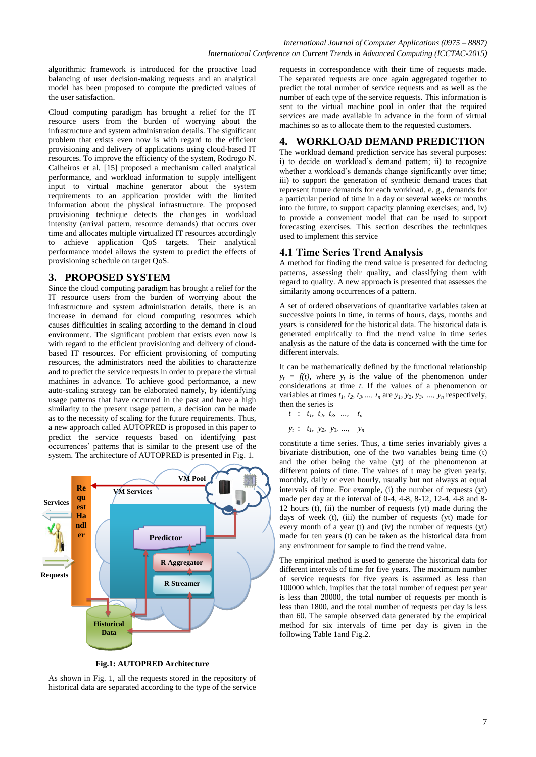algorithmic framework is introduced for the proactive load balancing of user decision-making requests and an analytical model has been proposed to compute the predicted values of the user satisfaction.

Cloud computing paradigm has brought a relief for the IT resource users from the burden of worrying about the infrastructure and system administration details. The significant problem that exists even now is with regard to the efficient provisioning and delivery of applications using cloud-based IT resources. To improve the efficiency of the system, Rodrogo N. Calheiros et al. [15] proposed a mechanism called analytical performance, and workload information to supply intelligent input to virtual machine generator about the system requirements to an application provider with the limited information about the physical infrastructure. The proposed provisioning technique detects the changes in workload intensity (arrival pattern, resource demands) that occurs over time and allocates multiple virtualized IT resources accordingly to achieve application QoS targets. Their analytical performance model allows the system to predict the effects of provisioning schedule on target QoS.

# **3. PROPOSED SYSTEM**

Since the cloud computing paradigm has brought a relief for the IT resource users from the burden of worrying about the infrastructure and system administration details, there is an increase in demand for cloud computing resources which causes difficulties in scaling according to the demand in cloud environment. The significant problem that exists even now is with regard to the efficient provisioning and delivery of cloudbased IT resources. For efficient provisioning of computing resources, the administrators need the abilities to characterize and to predict the service requests in order to prepare the virtual machines in advance. To achieve good performance, a new auto-scaling strategy can be elaborated namely, by identifying usage patterns that have occurred in the past and have a high similarity to the present usage pattern, a decision can be made as to the necessity of scaling for the future requirements. Thus, a new approach called AUTOPRED is proposed in this paper to predict the service requests based on identifying past occurrences' patterns that is similar to the present use of the system. The architecture of AUTOPRED is presented in Fig. 1.



**Fig.1: AUTOPRED Architecture**

As shown in Fig. 1, all the requests stored in the repository of historical data are separated according to the type of the service requests in correspondence with their time of requests made. The separated requests are once again aggregated together to predict the total number of service requests and as well as the number of each type of the service requests. This information is sent to the virtual machine pool in order that the required services are made available in advance in the form of virtual machines so as to allocate them to the requested customers.

# **4. WORKLOAD DEMAND PREDICTION**

The workload demand prediction service has several purposes: i) to decide on workload's demand pattern; ii) to recognize whether a workload's demands change significantly over time; iii) to support the generation of synthetic demand traces that represent future demands for each workload, e. g., demands for a particular period of time in a day or several weeks or months into the future, to support capacity planning exercises; and, iv) to provide a convenient model that can be used to support forecasting exercises. This section describes the techniques used to implement this service

# **4.1 Time Series Trend Analysis**

A method for finding the trend value is presented for deducing patterns, assessing their quality, and classifying them with regard to quality. A new approach is presented that assesses the similarity among occurrences of a pattern.

A set of ordered observations of quantitative variables taken at successive points in time, in terms of hours, days, months and years is considered for the historical data. The historical data is generated empirically to find the trend value in time series analysis as the nature of the data is concerned with the time for different intervals.

It can be mathematically defined by the functional relationship  $y_t = f(t)$ , where  $y_t$  is the value of the phenomenon under considerations at time *t.* If the values of a phenomenon or variables at times  $t_1, t_2, t_3, \ldots, t_n$  are  $y_1, y_2, y_3, \ldots, y_n$  respectively, then the series is

- $t$  :  $t_1$ ,  $t_2$ ,  $t_3$ , ...,  $t_n$
- $y_t$  :  $t_1$ ,  $y_2$ ,  $y_3$ , ...,  $y_n$

constitute a time series. Thus, a time series invariably gives a bivariate distribution, one of the two variables being time (t) and the other being the value (yt) of the phenomenon at different points of time. The values of t may be given yearly, monthly, daily or even hourly, usually but not always at equal intervals of time. For example, (i) the number of requests (yt) made per day at the interval of 0-4, 4-8, 8-12, 12-4, 4-8 and 8- 12 hours (t), (ii) the number of requests (yt) made during the days of week (t), (iii) the number of requests (yt) made for every month of a year (t) and (iv) the number of requests (yt) made for ten years (t) can be taken as the historical data from any environment for sample to find the trend value.

The empirical method is used to generate the historical data for different intervals of time for five years. The maximum number of service requests for five years is assumed as less than 100000 which, implies that the total number of request per year is less than 20000, the total number of requests per month is less than 1800, and the total number of requests per day is less than 60. The sample observed data generated by the empirical method for six intervals of time per day is given in the following Table 1and Fig.2.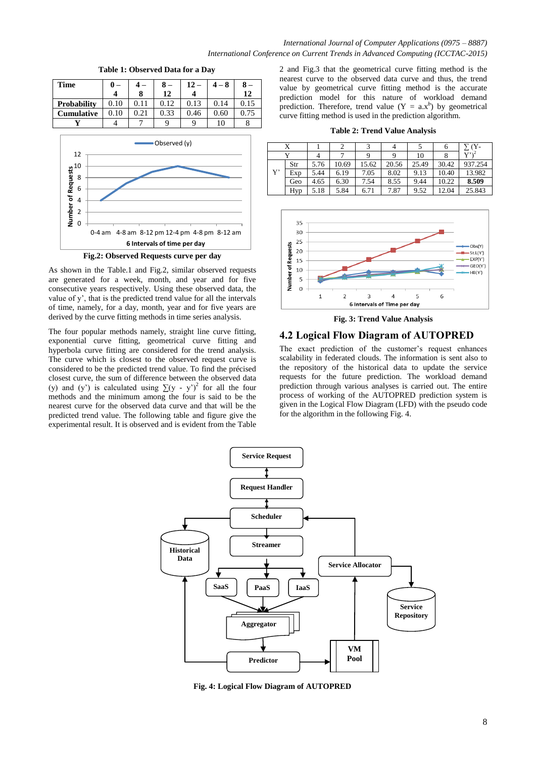

**Table 1: Observed Data for a Day**



As shown in the Table.1 and Fig.2, similar observed requests are generated for a week, month, and year and for five consecutive years respectively. Using these observed data, the value of y', that is the predicted trend value for all the intervals of time, namely, for a day, month, year and for five years are derived by the curve fitting methods in time series analysis.

The four popular methods namely, straight line curve fitting, exponential curve fitting, geometrical curve fitting and hyperbola curve fitting are considered for the trend analysis. The curve which is closest to the observed request curve is considered to be the predicted trend value. To find the précised closest curve, the sum of difference between the observed data (y) and (y') is calculated using  $\sum (y - y')^2$  for all the four methods and the minimum among the four is said to be the nearest curve for the observed data curve and that will be the predicted trend value. The following table and figure give the experimental result. It is observed and is evident from the Table

2 and Fig.3 that the geometrical curve fitting method is the nearest curve to the observed data curve and thus, the trend value by geometrical curve fitting method is the accurate prediction model for this nature of workload demand prediction. Therefore, trend value  $(Y = a.x^b)$  by geometrical curve fitting method is used in the prediction algorithm.

**Table 2: Trend Value Analysis**

|    |     |      |       |       |       |       | O     | <b>Y-</b>                 |
|----|-----|------|-------|-------|-------|-------|-------|---------------------------|
|    |     |      |       |       |       | 10    |       | $V^{\prime}$ <sup>2</sup> |
|    | Str | 5.76 | 10.69 | 15.62 | 20.56 | 25.49 | 30.42 | 937.254                   |
| Y' | Exp | 5.44 | 6.19  | 7.05  | 8.02  | 9.13  | 10.40 | 13.982                    |
|    | Geo | 4.65 | 6.30  | 7.54  | 8.55  | 9.44  | 10.22 | 8.509                     |
|    | Hyp | 5.18 | 5.84  | 6.71  | 7.87  | 9.52  | 12.04 | 25.843                    |



**Fig. 3: Trend Value Analysis**

# **4.2 Logical Flow Diagram of AUTOPRED**

The exact prediction of the customer's request enhances scalability in federated clouds. The information is sent also to the repository of the historical data to update the service requests for the future prediction. The workload demand prediction through various analyses is carried out. The entire process of working of the AUTOPRED prediction system is given in the Logical Flow Diagram (LFD) with the pseudo code for the algorithm in the following Fig. 4.



**Fig. 4: Logical Flow Diagram of AUTOPRED**